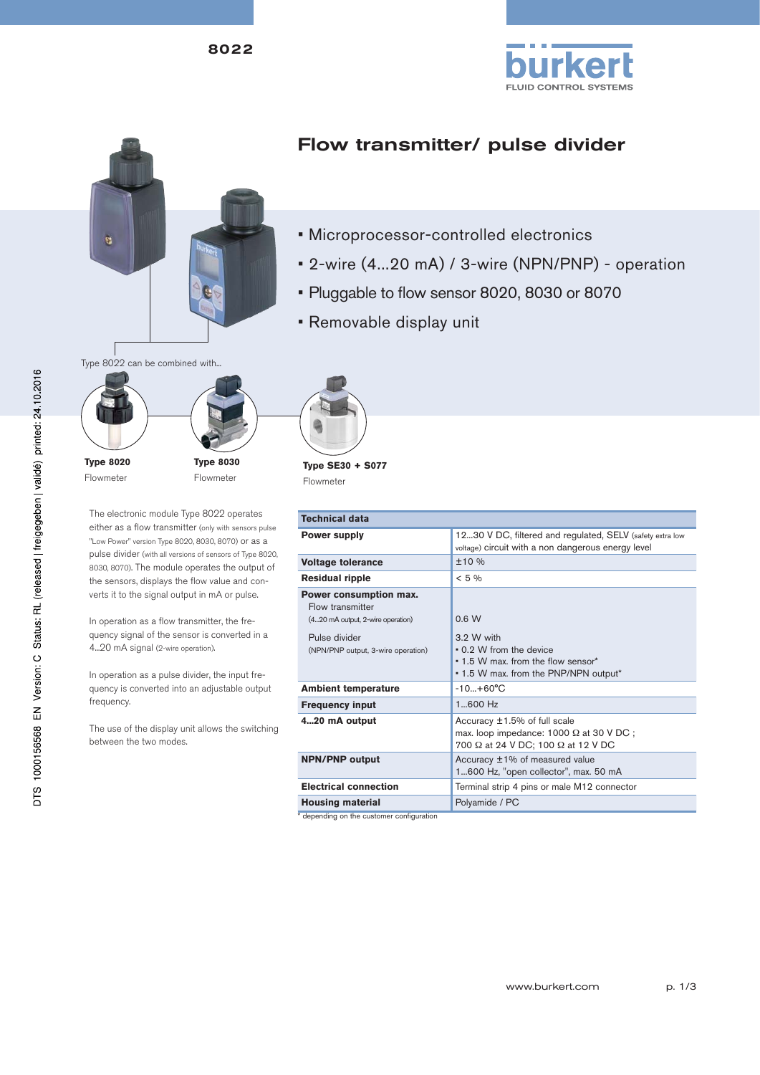8022





## Flow transmitter/ pulse divider

- Microprocessor-controlled electronics
- 2-wire (4...20 mA) / 3-wire (NPN/PNP) operation
- Pluggable to flow sensor 8020, 8030 or 8070
- Removable display unit



Flowmeter

The electronic module Type 8022 operates either as a flow transmitter (only with sensors pulse "Low Power" version Type 8020, 8030, 8070) or as a pulse divider (with all versions of sensors of Type 8020, 8030, 8070). The module operates the output of the sensors, displays the flow value and converts it to the signal output in mA or pulse.

Flowmeter

In operation as a flow transmitter, the frequency signal of the sensor is converted in a 4...20 mA signal (2-wire operation).

In operation as a pulse divider, the input frequency is converted into an adjustable output frequency.

The use of the display unit allows the switching between the two modes.



**Type SE30 + S077** Flowmeter

| Technical data                                                                                                                         |                                                                                                                               |  |
|----------------------------------------------------------------------------------------------------------------------------------------|-------------------------------------------------------------------------------------------------------------------------------|--|
| Power supply                                                                                                                           | 1230 V DC, filtered and regulated, SELV (safety extra low<br>voltage) circuit with a non dangerous energy level               |  |
| Voltage tolerance                                                                                                                      | ±10%                                                                                                                          |  |
| <b>Residual ripple</b>                                                                                                                 | $< 5\%$                                                                                                                       |  |
| Power consumption max.<br>Flow transmitter<br>(420 mA output, 2-wire operation)<br>Pulse divider<br>(NPN/PNP output, 3-wire operation) | 0.6 W<br>3.2 W with<br>• 0.2 W from the device<br>. 1.5 W max, from the flow sensor*<br>• 1.5 W max. from the PNP/NPN output* |  |
| <b>Ambient temperature</b>                                                                                                             | $-10+60^{\circ}C$                                                                                                             |  |
| <b>Frequency input</b>                                                                                                                 | $1600$ Hz                                                                                                                     |  |
| 420 mA output                                                                                                                          | Accuracy $\pm 1.5\%$ of full scale<br>max. loop impedance: $1000 \Omega$ at 30 V DC;                                          |  |

**NPN/PNP output** Accuracy ±1% of measured value

**Electrical connection** Terminal strip 4 pins or male M12 connector

700 Ω at 24 V DC; 100 Ω at 12 V DC

1...600 Hz, "open collector", max. 50 mA

**Housing material** Polyamide / PC \* depending on the customer configuration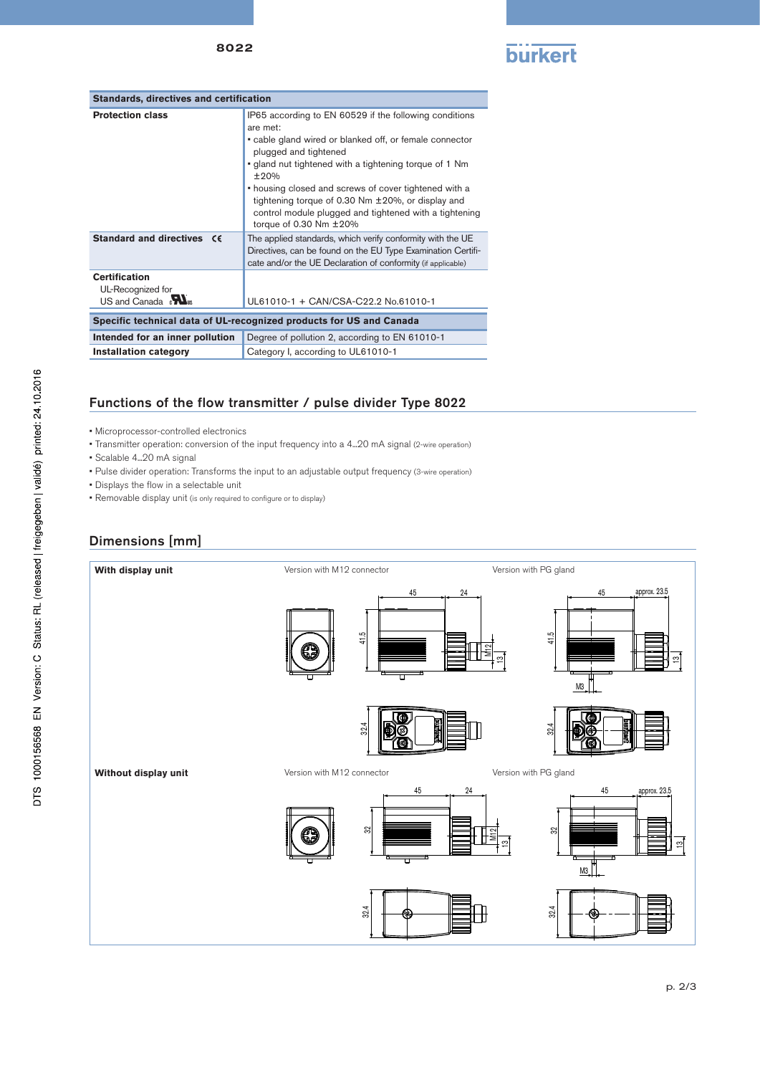

| <b>Standards, directives and certification</b>                                  |                                                                                                                                                                                                                                                                                                                                                                                                                                 |  |
|---------------------------------------------------------------------------------|---------------------------------------------------------------------------------------------------------------------------------------------------------------------------------------------------------------------------------------------------------------------------------------------------------------------------------------------------------------------------------------------------------------------------------|--|
| <b>Protection class</b>                                                         | IP65 according to EN 60529 if the following conditions<br>are met:<br>• cable gland wired or blanked off, or female connector<br>plugged and tightened<br>• gland nut tightened with a tightening torque of 1 Nm<br>±20%<br>• housing closed and screws of cover tightened with a<br>tightening torque of 0.30 Nm $\pm$ 20%, or display and<br>control module plugged and tightened with a tightening<br>torque of 0.30 Nm ±20% |  |
| Standard and directives CE                                                      | The applied standards, which verify conformity with the UE<br>Directives, can be found on the EU Type Examination Certifi-<br>cate and/or the UE Declaration of conformity (if applicable)                                                                                                                                                                                                                                      |  |
| <b>Certification</b><br>UL-Recognized for<br>$US$ and Canada $\sum_{\text{us}}$ | UL61010-1 + CAN/CSA-C22.2 No.61010-1                                                                                                                                                                                                                                                                                                                                                                                            |  |
| Specific technical data of UL-recognized products for US and Canada             |                                                                                                                                                                                                                                                                                                                                                                                                                                 |  |
| Intended for an inner pollution                                                 | Degree of pollution 2, according to EN 61010-1                                                                                                                                                                                                                                                                                                                                                                                  |  |
| <b>Installation category</b>                                                    | Category I, according to UL61010-1                                                                                                                                                                                                                                                                                                                                                                                              |  |

## Functions of the flow transmitter / pulse divider Type 8022

- Microprocessor-controlled electronics
- Transmitter operation: conversion of the input frequency into a 4...20 mA signal (2-wire operation)
- Scalable 4...20 mA signal
- Pulse divider operation: Transforms the input to an adjustable output frequency (3-wire operation)
- Displays the flow in a selectable unit
- Removable display unit (is only required to configure or to display)

## Dimensions [mm]